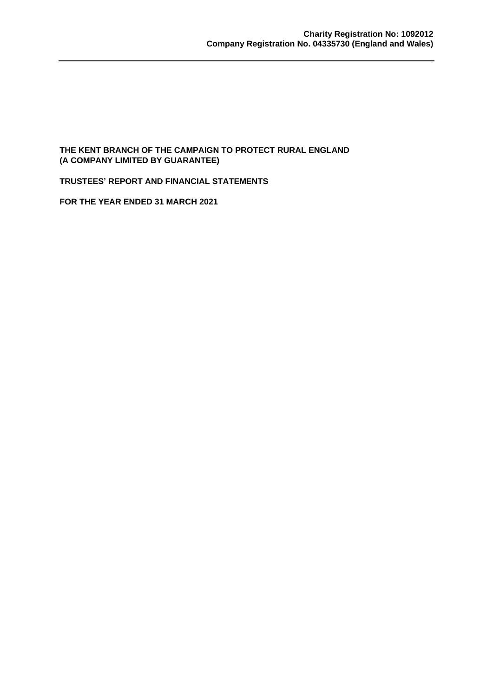# **THE KENT BRANCH OF THE CAMPAIGN TO PROTECT RURAL ENGLAND (A COMPANY LIMITED BY GUARANTEE)**

**TRUSTEES' REPORT AND FINANCIAL STATEMENTS**

**FOR THE YEAR ENDED 31 MARCH 2021**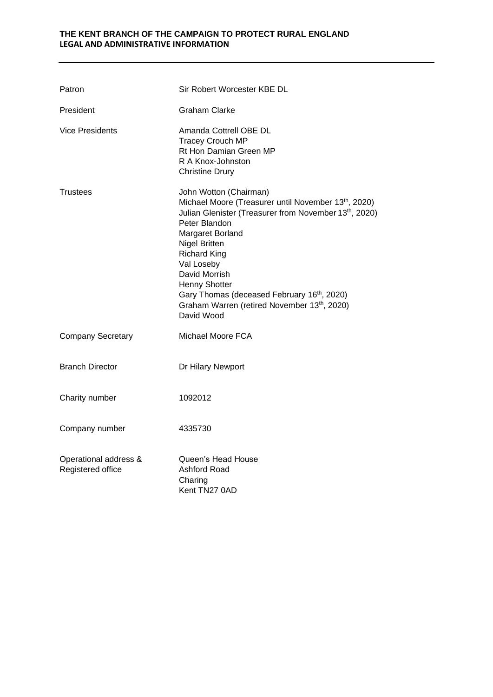# **THE KENT BRANCH OF THE CAMPAIGN TO PROTECT RURAL ENGLAND LEGAL AND ADMINISTRATIVE INFORMATION**

| Patron                                     | Sir Robert Worcester KBE DL                                                                                                                                                                                                                                                                                                                                                                                     |
|--------------------------------------------|-----------------------------------------------------------------------------------------------------------------------------------------------------------------------------------------------------------------------------------------------------------------------------------------------------------------------------------------------------------------------------------------------------------------|
| President                                  | Graham Clarke                                                                                                                                                                                                                                                                                                                                                                                                   |
| <b>Vice Presidents</b>                     | Amanda Cottrell OBE DL<br><b>Tracey Crouch MP</b><br>Rt Hon Damian Green MP<br>R A Knox-Johnston<br><b>Christine Drury</b>                                                                                                                                                                                                                                                                                      |
| <b>Trustees</b>                            | John Wotton (Chairman)<br>Michael Moore (Treasurer until November 13 <sup>th</sup> , 2020)<br>Julian Glenister (Treasurer from November 13th, 2020)<br>Peter Blandon<br>Margaret Borland<br><b>Nigel Britten</b><br><b>Richard King</b><br>Val Loseby<br>David Morrish<br>Henny Shotter<br>Gary Thomas (deceased February 16 <sup>th</sup> , 2020)<br>Graham Warren (retired November 13th, 2020)<br>David Wood |
| <b>Company Secretary</b>                   | Michael Moore FCA                                                                                                                                                                                                                                                                                                                                                                                               |
| <b>Branch Director</b>                     | Dr Hilary Newport                                                                                                                                                                                                                                                                                                                                                                                               |
| Charity number                             | 1092012                                                                                                                                                                                                                                                                                                                                                                                                         |
| Company number                             | 4335730                                                                                                                                                                                                                                                                                                                                                                                                         |
| Operational address &<br>Registered office | Queen's Head House<br>Ashford Road<br>Charing<br>Kent TN27 0AD                                                                                                                                                                                                                                                                                                                                                  |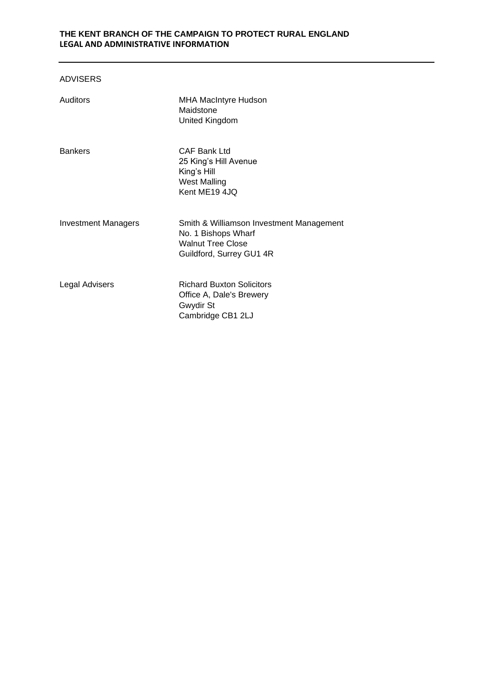# **THE KENT BRANCH OF THE CAMPAIGN TO PROTECT RURAL ENGLAND LEGAL AND ADMINISTRATIVE INFORMATION**

# ADVISERS

| Auditors                   | MHA MacIntyre Hudson<br>Maidstone<br>United Kingdom                                                                     |
|----------------------------|-------------------------------------------------------------------------------------------------------------------------|
| <b>Bankers</b>             | CAF Bank Ltd<br>25 King's Hill Avenue<br>King's Hill<br><b>West Malling</b><br>Kent ME19 4JQ                            |
| <b>Investment Managers</b> | Smith & Williamson Investment Management<br>No. 1 Bishops Wharf<br><b>Walnut Tree Close</b><br>Guildford, Surrey GU1 4R |
| Legal Advisers             | <b>Richard Buxton Solicitors</b><br>Office A, Dale's Brewery<br>Gwydir St<br>Cambridge CB1 2LJ                          |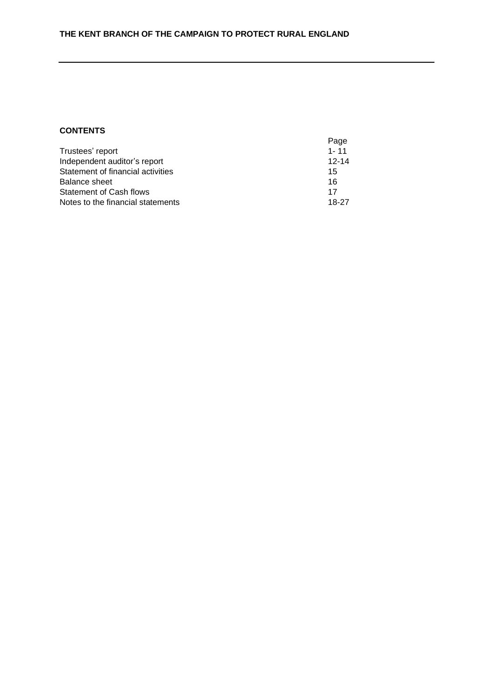# **CONTENTS**

|                                   | Page     |
|-----------------------------------|----------|
| Trustees' report                  | $1 - 11$ |
| Independent auditor's report      | 12-14    |
| Statement of financial activities | 15       |
| <b>Balance sheet</b>              | 16       |
| <b>Statement of Cash flows</b>    | 17       |
| Notes to the financial statements | 18-27    |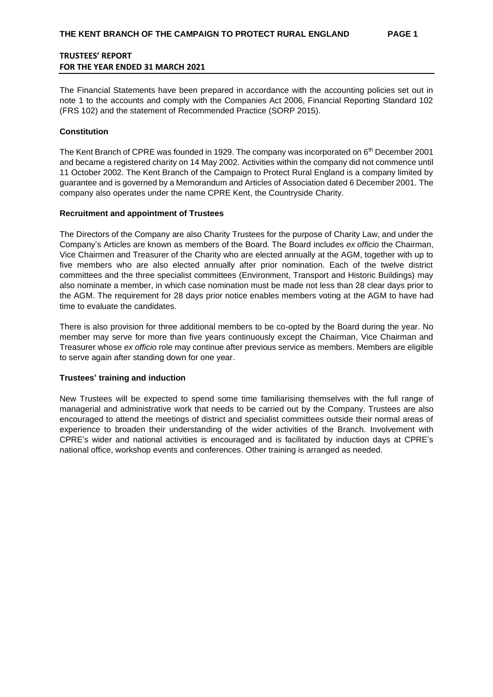The Financial Statements have been prepared in accordance with the accounting policies set out in note 1 to the accounts and comply with the Companies Act 2006, Financial Reporting Standard 102 (FRS 102) and the statement of Recommended Practice (SORP 2015).

# **Constitution**

The Kent Branch of CPRE was founded in 1929. The company was incorporated on 6th December 2001 and became a registered charity on 14 May 2002. Activities within the company did not commence until 11 October 2002. The Kent Branch of the Campaign to Protect Rural England is a company limited by guarantee and is governed by a Memorandum and Articles of Association dated 6 December 2001. The company also operates under the name CPRE Kent, the Countryside Charity.

### **Recruitment and appointment of Trustees**

The Directors of the Company are also Charity Trustees for the purpose of Charity Law, and under the Company's Articles are known as members of the Board. The Board includes *ex officio* the Chairman, Vice Chairmen and Treasurer of the Charity who are elected annually at the AGM, together with up to five members who are also elected annually after prior nomination. Each of the twelve district committees and the three specialist committees (Environment, Transport and Historic Buildings) may also nominate a member, in which case nomination must be made not less than 28 clear days prior to the AGM. The requirement for 28 days prior notice enables members voting at the AGM to have had time to evaluate the candidates.

There is also provision for three additional members to be co-opted by the Board during the year. No member may serve for more than five years continuously except the Chairman, Vice Chairman and Treasurer whose *ex officio* role may continue after previous service as members. Members are eligible to serve again after standing down for one year.

### **Trustees' training and induction**

New Trustees will be expected to spend some time familiarising themselves with the full range of managerial and administrative work that needs to be carried out by the Company. Trustees are also encouraged to attend the meetings of district and specialist committees outside their normal areas of experience to broaden their understanding of the wider activities of the Branch. Involvement with CPRE's wider and national activities is encouraged and is facilitated by induction days at CPRE's national office, workshop events and conferences. Other training is arranged as needed.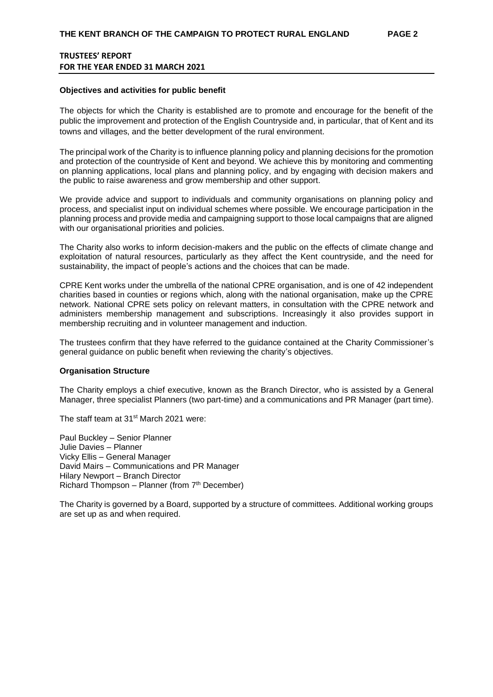### **Objectives and activities for public benefit**

The objects for which the Charity is established are to promote and encourage for the benefit of the public the improvement and protection of the English Countryside and, in particular, that of Kent and its towns and villages, and the better development of the rural environment.

The principal work of the Charity is to influence planning policy and planning decisions for the promotion and protection of the countryside of Kent and beyond. We achieve this by monitoring and commenting on planning applications, local plans and planning policy, and by engaging with decision makers and the public to raise awareness and grow membership and other support.

We provide advice and support to individuals and community organisations on planning policy and process, and specialist input on individual schemes where possible. We encourage participation in the planning process and provide media and campaigning support to those local campaigns that are aligned with our organisational priorities and policies.

The Charity also works to inform decision-makers and the public on the effects of climate change and exploitation of natural resources, particularly as they affect the Kent countryside, and the need for sustainability, the impact of people's actions and the choices that can be made.

CPRE Kent works under the umbrella of the national CPRE organisation, and is one of 42 independent charities based in counties or regions which, along with the national organisation, make up the CPRE network. National CPRE sets policy on relevant matters, in consultation with the CPRE network and administers membership management and subscriptions. Increasingly it also provides support in membership recruiting and in volunteer management and induction.

The trustees confirm that they have referred to the guidance contained at the Charity Commissioner's general guidance on public benefit when reviewing the charity's objectives.

### **Organisation Structure**

The Charity employs a chief executive, known as the Branch Director, who is assisted by a General Manager, three specialist Planners (two part-time) and a communications and PR Manager (part time).

The staff team at 31<sup>st</sup> March 2021 were:

Paul Buckley – Senior Planner Julie Davies – Planner Vicky Ellis – General Manager David Mairs – Communications and PR Manager Hilary Newport – Branch Director Richard Thompson – Planner (from  $7<sup>th</sup>$  December)

The Charity is governed by a Board, supported by a structure of committees. Additional working groups are set up as and when required.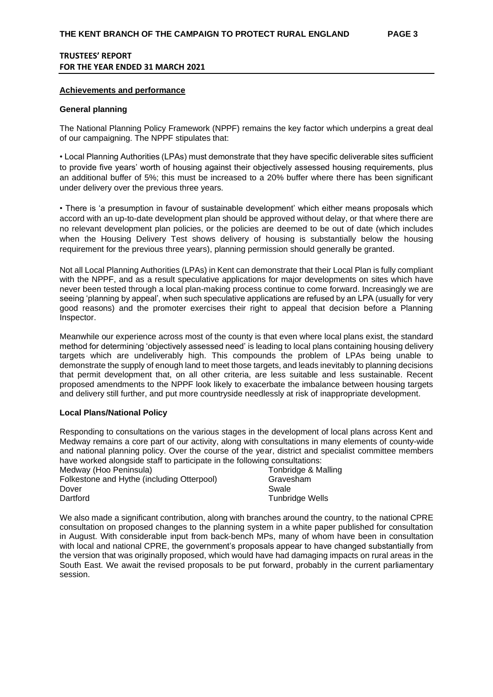### **Achievements and performance**

### **General planning**

The National Planning Policy Framework (NPPF) remains the key factor which underpins a great deal of our campaigning. The NPPF stipulates that:

• Local Planning Authorities (LPAs) must demonstrate that they have specific deliverable sites sufficient to provide five years' worth of housing against their objectively assessed housing requirements, plus an additional buffer of 5%; this must be increased to a 20% buffer where there has been significant under delivery over the previous three years.

• There is 'a presumption in favour of sustainable development' which either means proposals which accord with an up-to-date development plan should be approved without delay, or that where there are no relevant development plan policies, or the policies are deemed to be out of date (which includes when the Housing Delivery Test shows delivery of housing is substantially below the housing requirement for the previous three years), planning permission should generally be granted.

Not all Local Planning Authorities (LPAs) in Kent can demonstrate that their Local Plan is fully compliant with the NPPF, and as a result speculative applications for major developments on sites which have never been tested through a local plan-making process continue to come forward. Increasingly we are seeing 'planning by appeal', when such speculative applications are refused by an LPA (usually for very good reasons) and the promoter exercises their right to appeal that decision before a Planning Inspector.

Meanwhile our experience across most of the county is that even where local plans exist, the standard method for determining 'objectively assessed need' is leading to local plans containing housing delivery targets which are undeliverably high. This compounds the problem of LPAs being unable to demonstrate the supply of enough land to meet those targets, and leads inevitably to planning decisions that permit development that, on all other criteria, are less suitable and less sustainable. Recent proposed amendments to the NPPF look likely to exacerbate the imbalance between housing targets and delivery still further, and put more countryside needlessly at risk of inappropriate development.

### **Local Plans/National Policy**

Responding to consultations on the various stages in the development of local plans across Kent and Medway remains a core part of our activity, along with consultations in many elements of county-wide and national planning policy. Over the course of the year, district and specialist committee members have worked alongside staff to participate in the following consultations:

| Medway (Hoo Peninsula)                     | Tonbridge & Malling |
|--------------------------------------------|---------------------|
| Folkestone and Hythe (including Otterpool) | Gravesham           |
| Dover                                      | Swale               |
| Dartford                                   | Tunbridge Wells     |

We also made a significant contribution, along with branches around the country, to the national CPRE consultation on proposed changes to the planning system in a white paper published for consultation in August. With considerable input from back-bench MPs, many of whom have been in consultation with local and national CPRE, the government's proposals appear to have changed substantially from the version that was originally proposed, which would have had damaging impacts on rural areas in the South East. We await the revised proposals to be put forward, probably in the current parliamentary session.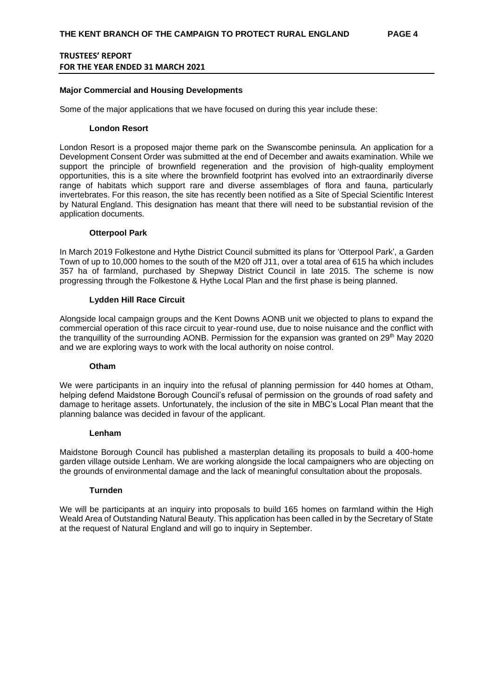### **Major Commercial and Housing Developments**

Some of the major applications that we have focused on during this year include these:

#### **London Resort**

London Resort is a proposed major theme park on the Swanscombe peninsula. An application for a Development Consent Order was submitted at the end of December and awaits examination. While we support the principle of brownfield regeneration and the provision of high-quality employment opportunities, this is a site where the brownfield footprint has evolved into an extraordinarily diverse range of habitats which support rare and diverse assemblages of flora and fauna, particularly invertebrates. For this reason, the site has recently been notified as a Site of Special Scientific Interest by Natural England. This designation has meant that there will need to be substantial revision of the application documents.

### **Otterpool Park**

In March 2019 Folkestone and Hythe District Council submitted its plans for 'Otterpool Park', a Garden Town of up to 10,000 homes to the south of the M20 off J11, over a total area of 615 ha which includes 357 ha of farmland, purchased by Shepway District Council in late 2015. The scheme is now progressing through the Folkestone & Hythe Local Plan and the first phase is being planned.

#### **Lydden Hill Race Circuit**

Alongside local campaign groups and the Kent Downs AONB unit we objected to plans to expand the commercial operation of this race circuit to year-round use, due to noise nuisance and the conflict with the tranquillity of the surrounding AONB. Permission for the expansion was granted on 29<sup>th</sup> May 2020 and we are exploring ways to work with the local authority on noise control.

#### **Otham**

We were participants in an inquiry into the refusal of planning permission for 440 homes at Otham, helping defend Maidstone Borough Council's refusal of permission on the grounds of road safety and damage to heritage assets. Unfortunately, the inclusion of the site in MBC's Local Plan meant that the planning balance was decided in favour of the applicant.

#### **Lenham**

Maidstone Borough Council has published a masterplan detailing its proposals to build a 400-home garden village outside Lenham. We are working alongside the local campaigners who are objecting on the grounds of environmental damage and the lack of meaningful consultation about the proposals.

#### **Turnden**

We will be participants at an inquiry into proposals to build 165 homes on farmland within the High Weald Area of Outstanding Natural Beauty. This application has been called in by the Secretary of State at the request of Natural England and will go to inquiry in September.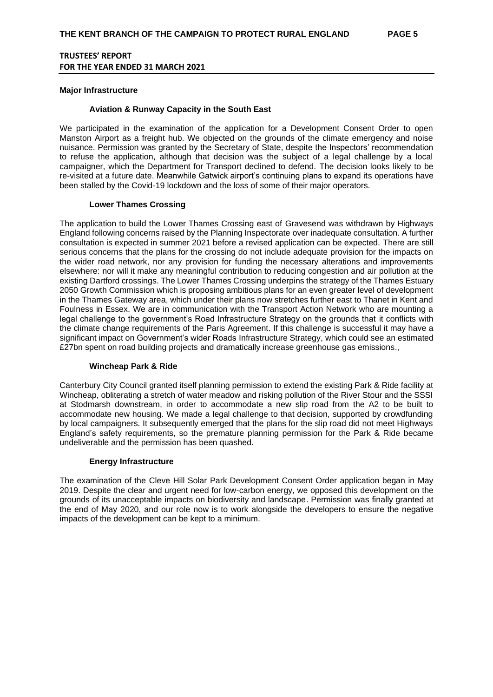### **Major Infrastructure**

### **Aviation & Runway Capacity in the South East**

We participated in the examination of the application for a Development Consent Order to open Manston Airport as a freight hub. We objected on the grounds of the climate emergency and noise nuisance. Permission was granted by the Secretary of State, despite the Inspectors' recommendation to refuse the application, although that decision was the subject of a legal challenge by a local campaigner, which the Department for Transport declined to defend. The decision looks likely to be re-visited at a future date. Meanwhile Gatwick airport's continuing plans to expand its operations have been stalled by the Covid-19 lockdown and the loss of some of their major operators.

#### **Lower Thames Crossing**

The application to build the Lower Thames Crossing east of Gravesend was withdrawn by Highways England following concerns raised by the Planning Inspectorate over inadequate consultation. A further consultation is expected in summer 2021 before a revised application can be expected. There are still serious concerns that the plans for the crossing do not include adequate provision for the impacts on the wider road network, nor any provision for funding the necessary alterations and improvements elsewhere: nor will it make any meaningful contribution to reducing congestion and air pollution at the existing Dartford crossings. The Lower Thames Crossing underpins the strategy of the Thames Estuary 2050 Growth Commission which is proposing ambitious plans for an even greater level of development in the Thames Gateway area, which under their plans now stretches further east to Thanet in Kent and Foulness in Essex. We are in communication with the Transport Action Network who are mounting a legal challenge to the government's Road Infrastructure Strategy on the grounds that it conflicts with the climate change requirements of the Paris Agreement. If this challenge is successful it may have a significant impact on Government's wider Roads Infrastructure Strategy, which could see an estimated £27bn spent on road building projects and dramatically increase greenhouse gas emissions.,

### **Wincheap Park & Ride**

Canterbury City Council granted itself planning permission to extend the existing Park & Ride facility at Wincheap, obliterating a stretch of water meadow and risking pollution of the River Stour and the SSSI at Stodmarsh downstream, in order to accommodate a new slip road from the A2 to be built to accommodate new housing. We made a legal challenge to that decision, supported by crowdfunding by local campaigners. It subsequently emerged that the plans for the slip road did not meet Highways England's safety requirements, so the premature planning permission for the Park & Ride became undeliverable and the permission has been quashed.

#### **Energy Infrastructure**

The examination of the Cleve Hill Solar Park Development Consent Order application began in May 2019. Despite the clear and urgent need for low-carbon energy, we opposed this development on the grounds of its unacceptable impacts on biodiversity and landscape. Permission was finally granted at the end of May 2020, and our role now is to work alongside the developers to ensure the negative impacts of the development can be kept to a minimum.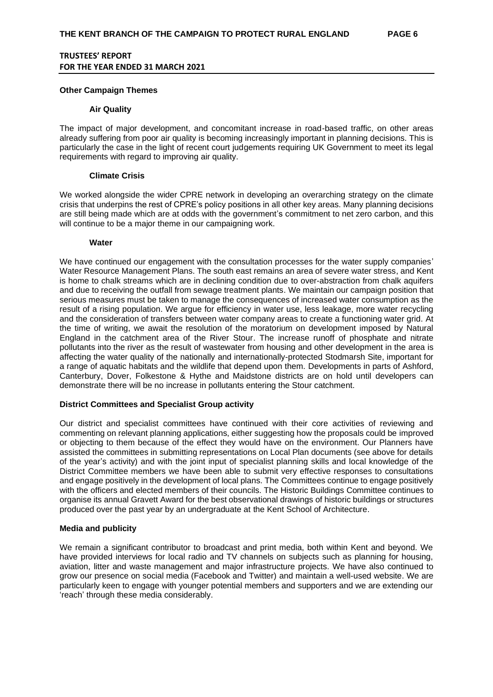### **Other Campaign Themes**

### **Air Quality**

The impact of major development, and concomitant increase in road-based traffic, on other areas already suffering from poor air quality is becoming increasingly important in planning decisions. This is particularly the case in the light of recent court judgements requiring UK Government to meet its legal requirements with regard to improving air quality.

# **Climate Crisis**

We worked alongside the wider CPRE network in developing an overarching strategy on the climate crisis that underpins the rest of CPRE's policy positions in all other key areas. Many planning decisions are still being made which are at odds with the government's commitment to net zero carbon, and this will continue to be a major theme in our campaigning work.

#### **Water**

We have continued our engagement with the consultation processes for the water supply companies' Water Resource Management Plans. The south east remains an area of severe water stress, and Kent is home to chalk streams which are in declining condition due to over-abstraction from chalk aquifers and due to receiving the outfall from sewage treatment plants. We maintain our campaign position that serious measures must be taken to manage the consequences of increased water consumption as the result of a rising population. We argue for efficiency in water use, less leakage, more water recycling and the consideration of transfers between water company areas to create a functioning water grid. At the time of writing, we await the resolution of the moratorium on development imposed by Natural England in the catchment area of the River Stour. The increase runoff of phosphate and nitrate pollutants into the river as the result of wastewater from housing and other development in the area is affecting the water quality of the nationally and internationally-protected Stodmarsh Site, important for a range of aquatic habitats and the wildlife that depend upon them. Developments in parts of Ashford, Canterbury, Dover, Folkestone & Hythe and Maidstone districts are on hold until developers can demonstrate there will be no increase in pollutants entering the Stour catchment.

### **District Committees and Specialist Group activity**

Our district and specialist committees have continued with their core activities of reviewing and commenting on relevant planning applications, either suggesting how the proposals could be improved or objecting to them because of the effect they would have on the environment. Our Planners have assisted the committees in submitting representations on Local Plan documents (see above for details of the year's activity) and with the joint input of specialist planning skills and local knowledge of the District Committee members we have been able to submit very effective responses to consultations and engage positively in the development of local plans. The Committees continue to engage positively with the officers and elected members of their councils. The Historic Buildings Committee continues to organise its annual Gravett Award for the best observational drawings of historic buildings or structures produced over the past year by an undergraduate at the Kent School of Architecture.

### **Media and publicity**

We remain a significant contributor to broadcast and print media, both within Kent and beyond. We have provided interviews for local radio and TV channels on subjects such as planning for housing, aviation, litter and waste management and major infrastructure projects. We have also continued to grow our presence on social media (Facebook and Twitter) and maintain a well-used website. We are particularly keen to engage with younger potential members and supporters and we are extending our 'reach' through these media considerably.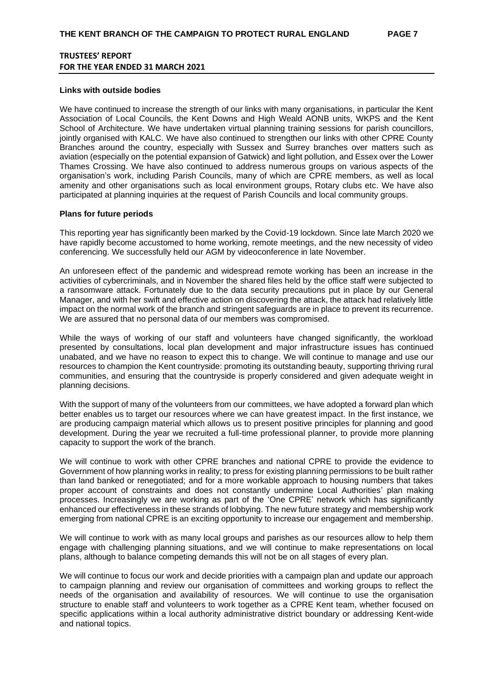#### **Links with outside bodies**

We have continued to increase the strength of our links with many organisations, in particular the Kent Association of Local Councils, the Kent Downs and High Weald AONB units, WKPS and the Kent School of Architecture. We have undertaken virtual planning training sessions for parish councillors, jointly organised with KALC. We have also continued to strengthen our links with other CPRE County Branches around the country, especially with Sussex and Surrey branches over matters such as aviation (especially on the potential expansion of Gatwick) and light pollution, and Essex over the Lower Thames Crossing. We have also continued to address numerous groups on various aspects of the organisation's work, including Parish Councils, many of which are CPRE members, as well as local amenity and other organisations such as local environment groups, Rotary clubs etc. We have also participated at planning inquiries at the request of Parish Councils and local community groups.

### **Plans for future periods**

This reporting year has significantly been marked by the Covid-19 lockdown. Since late March 2020 we have rapidly become accustomed to home working, remote meetings, and the new necessity of video conferencing. We successfully held our AGM by videoconference in late November.

An unforeseen effect of the pandemic and widespread remote working has been an increase in the activities of cybercriminals, and in November the shared files held by the office staff were subjected to a ransomware attack. Fortunately due to the data security precautions put in place by our General Manager, and with her swift and effective action on discovering the attack, the attack had relatively little impact on the normal work of the branch and stringent safeguards are in place to prevent its recurrence. We are assured that no personal data of our members was compromised.

While the ways of working of our staff and volunteers have changed significantly, the workload presented by consultations, local plan development and major infrastructure issues has continued unabated, and we have no reason to expect this to change. We will continue to manage and use our resources to champion the Kent countryside: promoting its outstanding beauty, supporting thriving rural communities, and ensuring that the countryside is properly considered and given adequate weight in planning decisions.

With the support of many of the volunteers from our committees, we have adopted a forward plan which better enables us to target our resources where we can have greatest impact. In the first instance, we are producing campaign material which allows us to present positive principles for planning and good development. During the year we recruited a full-time professional planner, to provide more planning capacity to support the work of the branch.

We will continue to work with other CPRE branches and national CPRE to provide the evidence to Government of how planning works in reality; to press for existing planning permissions to be built rather than land banked or renegotiated; and for a more workable approach to housing numbers that takes proper account of constraints and does not constantly undermine Local Authorities' plan making processes. Increasingly we are working as part of the 'One CPRE' network which has significantly enhanced our effectiveness in these strands of lobbying. The new future strategy and membership work emerging from national CPRE is an exciting opportunity to increase our engagement and membership.

We will continue to work with as many local groups and parishes as our resources allow to help them engage with challenging planning situations, and we will continue to make representations on local plans, although to balance competing demands this will not be on all stages of every plan.

We will continue to focus our work and decide priorities with a campaign plan and update our approach to campaign planning and review our organisation of committees and working groups to reflect the needs of the organisation and availability of resources. We will continue to use the organisation structure to enable staff and volunteers to work together as a CPRE Kent team, whether focused on specific applications within a local authority administrative district boundary or addressing Kent-wide and national topics.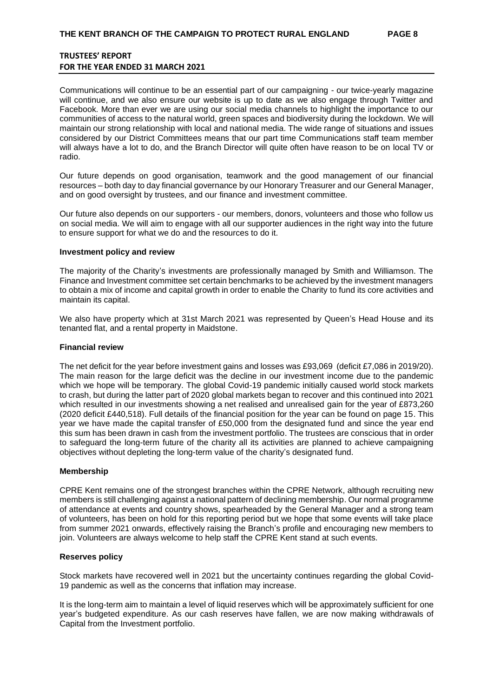Communications will continue to be an essential part of our campaigning - our twice-yearly magazine will continue, and we also ensure our website is up to date as we also engage through Twitter and Facebook. More than ever we are using our social media channels to highlight the importance to our communities of access to the natural world, green spaces and biodiversity during the lockdown. We will maintain our strong relationship with local and national media. The wide range of situations and issues considered by our District Committees means that our part time Communications staff team member will always have a lot to do, and the Branch Director will quite often have reason to be on local TV or radio.

Our future depends on good organisation, teamwork and the good management of our financial resources – both day to day financial governance by our Honorary Treasurer and our General Manager, and on good oversight by trustees, and our finance and investment committee.

Our future also depends on our supporters - our members, donors, volunteers and those who follow us on social media. We will aim to engage with all our supporter audiences in the right way into the future to ensure support for what we do and the resources to do it.

#### **Investment policy and review**

The majority of the Charity's investments are professionally managed by Smith and Williamson. The Finance and Investment committee set certain benchmarks to be achieved by the investment managers to obtain a mix of income and capital growth in order to enable the Charity to fund its core activities and maintain its capital.

We also have property which at 31st March 2021 was represented by Queen's Head House and its tenanted flat, and a rental property in Maidstone.

#### **Financial review**

The net deficit for the year before investment gains and losses was £93,069 (deficit £7,086 in 2019/20). The main reason for the large deficit was the decline in our investment income due to the pandemic which we hope will be temporary. The global Covid-19 pandemic initially caused world stock markets to crash, but during the latter part of 2020 global markets began to recover and this continued into 2021 which resulted in our investments showing a net realised and unrealised gain for the year of £873,260 (2020 deficit £440,518). Full details of the financial position for the year can be found on page 15. This year we have made the capital transfer of £50,000 from the designated fund and since the year end this sum has been drawn in cash from the investment portfolio. The trustees are conscious that in order to safeguard the long-term future of the charity all its activities are planned to achieve campaigning objectives without depleting the long-term value of the charity's designated fund.

### **Membership**

CPRE Kent remains one of the strongest branches within the CPRE Network, although recruiting new members is still challenging against a national pattern of declining membership. Our normal programme of attendance at events and country shows, spearheaded by the General Manager and a strong team of volunteers, has been on hold for this reporting period but we hope that some events will take place from summer 2021 onwards, effectively raising the Branch's profile and encouraging new members to join. Volunteers are always welcome to help staff the CPRE Kent stand at such events.

#### **Reserves policy**

Stock markets have recovered well in 2021 but the uncertainty continues regarding the global Covid-19 pandemic as well as the concerns that inflation may increase.

It is the long-term aim to maintain a level of liquid reserves which will be approximately sufficient for one year's budgeted expenditure. As our cash reserves have fallen, we are now making withdrawals of Capital from the Investment portfolio.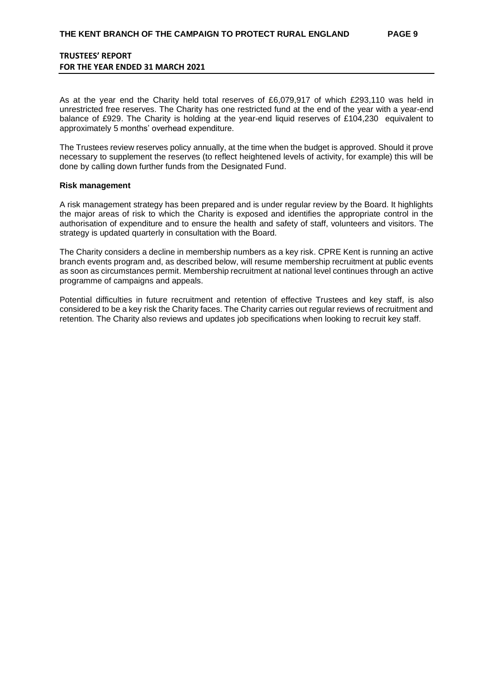As at the year end the Charity held total reserves of £6,079,917 of which £293,110 was held in unrestricted free reserves. The Charity has one restricted fund at the end of the year with a year-end balance of £929. The Charity is holding at the year-end liquid reserves of £104,230 equivalent to approximately 5 months' overhead expenditure.

The Trustees review reserves policy annually, at the time when the budget is approved. Should it prove necessary to supplement the reserves (to reflect heightened levels of activity, for example) this will be done by calling down further funds from the Designated Fund.

#### **Risk management**

A risk management strategy has been prepared and is under regular review by the Board. It highlights the major areas of risk to which the Charity is exposed and identifies the appropriate control in the authorisation of expenditure and to ensure the health and safety of staff, volunteers and visitors. The strategy is updated quarterly in consultation with the Board.

The Charity considers a decline in membership numbers as a key risk. CPRE Kent is running an active branch events program and, as described below, will resume membership recruitment at public events as soon as circumstances permit. Membership recruitment at national level continues through an active programme of campaigns and appeals.

Potential difficulties in future recruitment and retention of effective Trustees and key staff, is also considered to be a key risk the Charity faces. The Charity carries out regular reviews of recruitment and retention. The Charity also reviews and updates job specifications when looking to recruit key staff.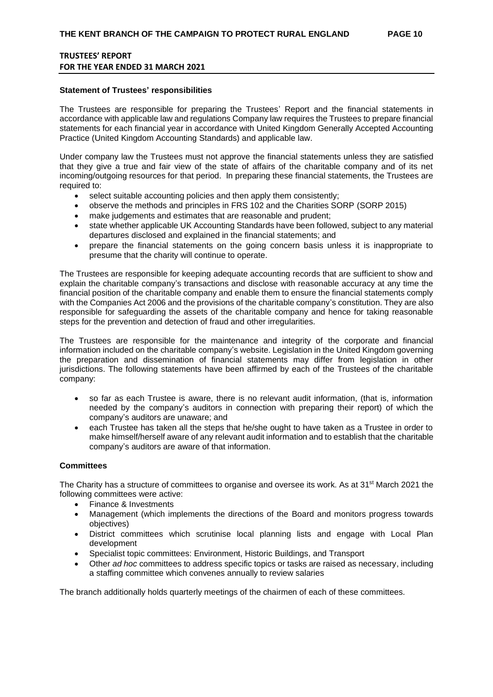### **Statement of Trustees' responsibilities**

The Trustees are responsible for preparing the Trustees' Report and the financial statements in accordance with applicable law and regulations Company law requires the Trustees to prepare financial statements for each financial year in accordance with United Kingdom Generally Accepted Accounting Practice (United Kingdom Accounting Standards) and applicable law.

Under company law the Trustees must not approve the financial statements unless they are satisfied that they give a true and fair view of the state of affairs of the charitable company and of its net incoming/outgoing resources for that period. In preparing these financial statements, the Trustees are required to:

- select suitable accounting policies and then apply them consistently;
- observe the methods and principles in FRS 102 and the Charities SORP (SORP 2015)
- make judgements and estimates that are reasonable and prudent;
- state whether applicable UK Accounting Standards have been followed, subject to any material departures disclosed and explained in the financial statements; and
- prepare the financial statements on the going concern basis unless it is inappropriate to presume that the charity will continue to operate.

The Trustees are responsible for keeping adequate accounting records that are sufficient to show and explain the charitable company's transactions and disclose with reasonable accuracy at any time the financial position of the charitable company and enable them to ensure the financial statements comply with the Companies Act 2006 and the provisions of the charitable company's constitution. They are also responsible for safeguarding the assets of the charitable company and hence for taking reasonable steps for the prevention and detection of fraud and other irregularities.

The Trustees are responsible for the maintenance and integrity of the corporate and financial information included on the charitable company's website. Legislation in the United Kingdom governing the preparation and dissemination of financial statements may differ from legislation in other jurisdictions. The following statements have been affirmed by each of the Trustees of the charitable company:

- so far as each Trustee is aware, there is no relevant audit information, (that is, information needed by the company's auditors in connection with preparing their report) of which the company's auditors are unaware; and
- each Trustee has taken all the steps that he/she ought to have taken as a Trustee in order to make himself/herself aware of any relevant audit information and to establish that the charitable company's auditors are aware of that information.

### **Committees**

The Charity has a structure of committees to organise and oversee its work. As at 31<sup>st</sup> March 2021 the following committees were active:

- Finance & Investments
- Management (which implements the directions of the Board and monitors progress towards objectives)
- District committees which scrutinise local planning lists and engage with Local Plan development
- Specialist topic committees: Environment, Historic Buildings, and Transport
- Other *ad hoc* committees to address specific topics or tasks are raised as necessary, including a staffing committee which convenes annually to review salaries

The branch additionally holds quarterly meetings of the chairmen of each of these committees.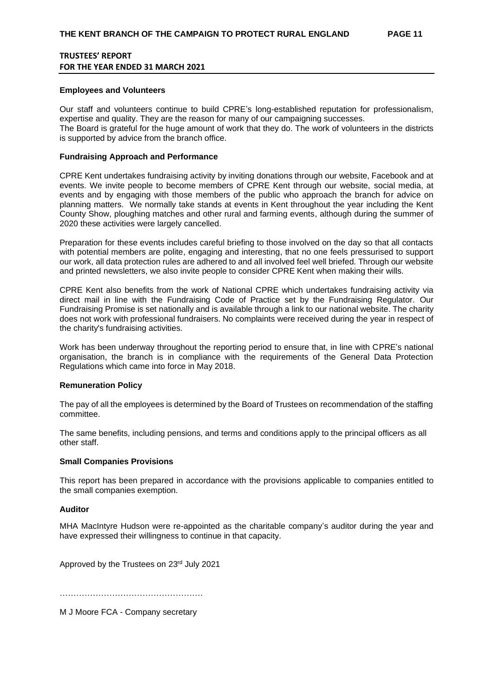#### **Employees and Volunteers**

Our staff and volunteers continue to build CPRE's long-established reputation for professionalism, expertise and quality. They are the reason for many of our campaigning successes. The Board is grateful for the huge amount of work that they do. The work of volunteers in the districts is supported by advice from the branch office.

#### **Fundraising Approach and Performance**

CPRE Kent undertakes fundraising activity by inviting donations through our website, Facebook and at events. We invite people to become members of CPRE Kent through our website, social media, at events and by engaging with those members of the public who approach the branch for advice on planning matters. We normally take stands at events in Kent throughout the year including the Kent County Show, ploughing matches and other rural and farming events, although during the summer of 2020 these activities were largely cancelled.

Preparation for these events includes careful briefing to those involved on the day so that all contacts with potential members are polite, engaging and interesting, that no one feels pressurised to support our work, all data protection rules are adhered to and all involved feel well briefed. Through our website and printed newsletters, we also invite people to consider CPRE Kent when making their wills.

CPRE Kent also benefits from the work of National CPRE which undertakes fundraising activity via direct mail in line with the Fundraising Code of Practice set by the Fundraising Regulator. Our Fundraising Promise is set nationally and is available through a link to our national website. The charity does not work with professional fundraisers. No complaints were received during the year in respect of the charity's fundraising activities.

Work has been underway throughout the reporting period to ensure that, in line with CPRE's national organisation, the branch is in compliance with the requirements of the General Data Protection Regulations which came into force in May 2018.

### **Remuneration Policy**

The pay of all the employees is determined by the Board of Trustees on recommendation of the staffing committee.

The same benefits, including pensions, and terms and conditions apply to the principal officers as all other staff.

#### **Small Companies Provisions**

This report has been prepared in accordance with the provisions applicable to companies entitled to the small companies exemption.

#### **Auditor**

MHA MacIntyre Hudson were re-appointed as the charitable company's auditor during the year and have expressed their willingness to continue in that capacity.

Approved by the Trustees on 23rd July 2021

……………………………………………………

M J Moore FCA - Company secretary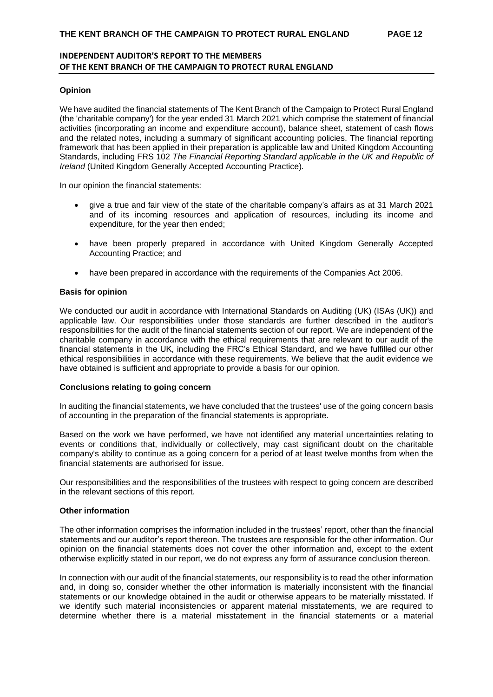# **INDEPENDENT AUDITOR'S REPORT TO THE MEMBERS OF THE KENT BRANCH OF THE CAMPAIGN TO PROTECT RURAL ENGLAND**

### **Opinion**

We have audited the financial statements of The Kent Branch of the Campaign to Protect Rural England (the 'charitable company') for the year ended 31 March 2021 which comprise the statement of financial activities (incorporating an income and expenditure account), balance sheet, statement of cash flows and the related notes, including a summary of significant accounting policies. The financial reporting framework that has been applied in their preparation is applicable law and United Kingdom Accounting Standards, including FRS 102 *The Financial Reporting Standard applicable in the UK and Republic of Ireland* (United Kingdom Generally Accepted Accounting Practice).

In our opinion the financial statements:

- give a true and fair view of the state of the charitable company's affairs as at 31 March 2021 and of its incoming resources and application of resources, including its income and expenditure, for the year then ended;
- have been properly prepared in accordance with United Kingdom Generally Accepted Accounting Practice; and
- have been prepared in accordance with the requirements of the Companies Act 2006.

#### **Basis for opinion**

We conducted our audit in accordance with International Standards on Auditing (UK) (ISAs (UK)) and applicable law. Our responsibilities under those standards are further described in the auditor's responsibilities for the audit of the financial statements section of our report. We are independent of the charitable company in accordance with the ethical requirements that are relevant to our audit of the financial statements in the UK, including the FRC's Ethical Standard, and we have fulfilled our other ethical responsibilities in accordance with these requirements. We believe that the audit evidence we have obtained is sufficient and appropriate to provide a basis for our opinion.

### **Conclusions relating to going concern**

In auditing the financial statements, we have concluded that the trustees' use of the going concern basis of accounting in the preparation of the financial statements is appropriate.

Based on the work we have performed, we have not identified any material uncertainties relating to events or conditions that, individually or collectively, may cast significant doubt on the charitable company's ability to continue as a going concern for a period of at least twelve months from when the financial statements are authorised for issue.

Our responsibilities and the responsibilities of the trustees with respect to going concern are described in the relevant sections of this report.

### **Other information**

The other information comprises the information included in the trustees' report, other than the financial statements and our auditor's report thereon. The trustees are responsible for the other information. Our opinion on the financial statements does not cover the other information and, except to the extent otherwise explicitly stated in our report, we do not express any form of assurance conclusion thereon.

In connection with our audit of the financial statements, our responsibility is to read the other information and, in doing so, consider whether the other information is materially inconsistent with the financial statements or our knowledge obtained in the audit or otherwise appears to be materially misstated. If we identify such material inconsistencies or apparent material misstatements, we are required to determine whether there is a material misstatement in the financial statements or a material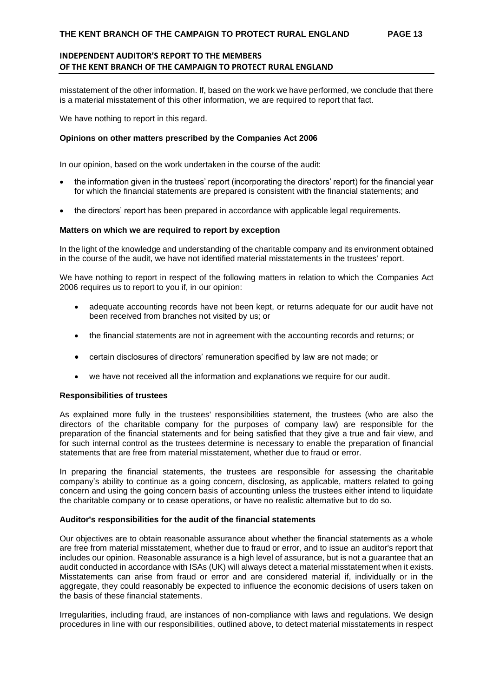# **INDEPENDENT AUDITOR'S REPORT TO THE MEMBERS OF THE KENT BRANCH OF THE CAMPAIGN TO PROTECT RURAL ENGLAND**

misstatement of the other information. If, based on the work we have performed, we conclude that there is a material misstatement of this other information, we are required to report that fact.

We have nothing to report in this regard.

### **Opinions on other matters prescribed by the Companies Act 2006**

In our opinion, based on the work undertaken in the course of the audit:

- the information given in the trustees' report (incorporating the directors' report) for the financial year for which the financial statements are prepared is consistent with the financial statements; and
- the directors' report has been prepared in accordance with applicable legal requirements.

#### **Matters on which we are required to report by exception**

In the light of the knowledge and understanding of the charitable company and its environment obtained in the course of the audit, we have not identified material misstatements in the trustees' report.

We have nothing to report in respect of the following matters in relation to which the Companies Act 2006 requires us to report to you if, in our opinion:

- adequate accounting records have not been kept, or returns adequate for our audit have not been received from branches not visited by us; or
- the financial statements are not in agreement with the accounting records and returns; or
- certain disclosures of directors' remuneration specified by law are not made; or
- we have not received all the information and explanations we require for our audit.

### **Responsibilities of trustees**

As explained more fully in the trustees' responsibilities statement, the trustees (who are also the directors of the charitable company for the purposes of company law) are responsible for the preparation of the financial statements and for being satisfied that they give a true and fair view, and for such internal control as the trustees determine is necessary to enable the preparation of financial statements that are free from material misstatement, whether due to fraud or error.

In preparing the financial statements, the trustees are responsible for assessing the charitable company's ability to continue as a going concern, disclosing, as applicable, matters related to going concern and using the going concern basis of accounting unless the trustees either intend to liquidate the charitable company or to cease operations, or have no realistic alternative but to do so.

#### **Auditor's responsibilities for the audit of the financial statements**

Our objectives are to obtain reasonable assurance about whether the financial statements as a whole are free from material misstatement, whether due to fraud or error, and to issue an auditor's report that includes our opinion. Reasonable assurance is a high level of assurance, but is not a guarantee that an audit conducted in accordance with ISAs (UK) will always detect a material misstatement when it exists. Misstatements can arise from fraud or error and are considered material if, individually or in the aggregate, they could reasonably be expected to influence the economic decisions of users taken on the basis of these financial statements.

Irregularities, including fraud, are instances of non-compliance with laws and regulations. We design procedures in line with our responsibilities, outlined above, to detect material misstatements in respect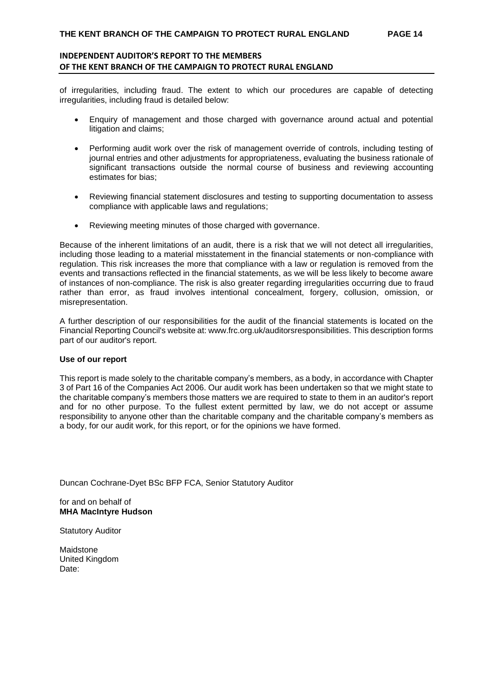# **INDEPENDENT AUDITOR'S REPORT TO THE MEMBERS OF THE KENT BRANCH OF THE CAMPAIGN TO PROTECT RURAL ENGLAND**

of irregularities, including fraud. The extent to which our procedures are capable of detecting irregularities, including fraud is detailed below:

- Enquiry of management and those charged with governance around actual and potential litigation and claims;
- Performing audit work over the risk of management override of controls, including testing of journal entries and other adjustments for appropriateness, evaluating the business rationale of significant transactions outside the normal course of business and reviewing accounting estimates for bias;
- Reviewing financial statement disclosures and testing to supporting documentation to assess compliance with applicable laws and regulations;
- Reviewing meeting minutes of those charged with governance.

Because of the inherent limitations of an audit, there is a risk that we will not detect all irregularities, including those leading to a material misstatement in the financial statements or non-compliance with regulation. This risk increases the more that compliance with a law or regulation is removed from the events and transactions reflected in the financial statements, as we will be less likely to become aware of instances of non-compliance. The risk is also greater regarding irregularities occurring due to fraud rather than error, as fraud involves intentional concealment, forgery, collusion, omission, or misrepresentation.

A further description of our responsibilities for the audit of the financial statements is located on the Financial Reporting Council's website at: www.frc.org.uk/auditorsresponsibilities. This description forms part of our auditor's report.

### **Use of our report**

This report is made solely to the charitable company's members, as a body, in accordance with Chapter 3 of Part 16 of the Companies Act 2006. Our audit work has been undertaken so that we might state to the charitable company's members those matters we are required to state to them in an auditor's report and for no other purpose. To the fullest extent permitted by law, we do not accept or assume responsibility to anyone other than the charitable company and the charitable company's members as a body, for our audit work, for this report, or for the opinions we have formed.

Duncan Cochrane-Dyet BSc BFP FCA, Senior Statutory Auditor

for and on behalf of **MHA MacIntyre Hudson**

Statutory Auditor

Maidstone United Kingdom Date: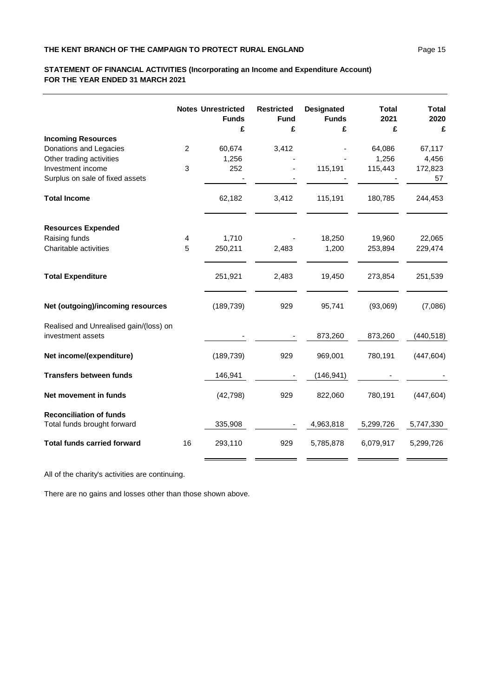### **STATEMENT OF FINANCIAL ACTIVITIES (Incorporating an Income and Expenditure Account) FOR THE YEAR ENDED 31 MARCH 2021**

|                                                               |                | <b>Notes Unrestricted</b><br><b>Funds</b><br>£ | <b>Restricted</b><br><b>Fund</b><br>£ | <b>Designated</b><br><b>Funds</b><br>£ | <b>Total</b><br>2021<br>£ | <b>Total</b><br>2020<br>£ |
|---------------------------------------------------------------|----------------|------------------------------------------------|---------------------------------------|----------------------------------------|---------------------------|---------------------------|
| <b>Incoming Resources</b>                                     |                |                                                |                                       |                                        |                           |                           |
| Donations and Legacies                                        | $\overline{c}$ | 60,674                                         | 3,412                                 |                                        | 64,086                    | 67,117                    |
| Other trading activities                                      |                | 1,256                                          |                                       |                                        | 1,256                     | 4,456                     |
| Investment income                                             | 3              | 252                                            |                                       | 115,191                                | 115,443                   | 172,823                   |
| Surplus on sale of fixed assets                               |                |                                                |                                       |                                        |                           | 57                        |
| <b>Total Income</b>                                           |                | 62,182                                         | 3,412                                 | 115,191                                | 180,785                   | 244,453                   |
| <b>Resources Expended</b>                                     |                |                                                |                                       |                                        |                           |                           |
| Raising funds                                                 | 4              | 1,710                                          |                                       | 18,250                                 | 19,960                    | 22,065                    |
| Charitable activities                                         | 5              | 250,211                                        | 2,483                                 | 1,200                                  | 253,894                   | 229,474                   |
| <b>Total Expenditure</b>                                      |                | 251,921                                        | 2,483                                 | 19,450                                 | 273,854                   | 251,539                   |
| Net (outgoing)/incoming resources                             |                | (189, 739)                                     | 929                                   | 95,741                                 | (93,069)                  | (7,086)                   |
| Realised and Unrealised gain/(loss) on<br>investment assets   |                |                                                |                                       | 873,260                                | 873,260                   | (440, 518)                |
| Net income/(expenditure)                                      |                | (189, 739)                                     | 929                                   | 969,001                                | 780,191                   | (447, 604)                |
| <b>Transfers between funds</b>                                |                | 146,941                                        |                                       | (146, 941)                             |                           |                           |
| Net movement in funds                                         |                | (42, 798)                                      | 929                                   | 822,060                                | 780,191                   | (447, 604)                |
| <b>Reconciliation of funds</b><br>Total funds brought forward |                | 335,908                                        |                                       | 4,963,818                              | 5,299,726                 | 5,747,330                 |
| <b>Total funds carried forward</b>                            | 16             | 293,110                                        | 929                                   | 5,785,878                              | 6,079,917                 | 5,299,726                 |

All of the charity's activities are continuing.

There are no gains and losses other than those shown above.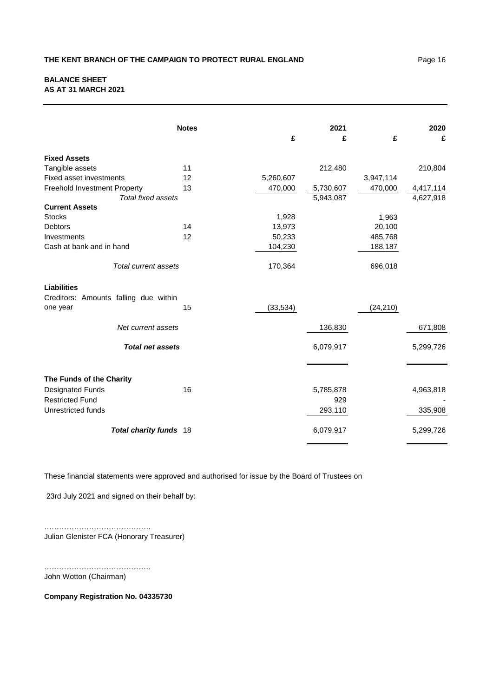# **THE KENT BRANCH OF THE CAMPAIGN TO PROTECT RURAL ENGLAND Page 16** Page 16

# **BALANCE SHEET AS AT 31 MARCH 2021**

|                                                             | <b>Notes</b> | £         | 2021<br>£ | £         | 2020<br>£ |
|-------------------------------------------------------------|--------------|-----------|-----------|-----------|-----------|
| <b>Fixed Assets</b>                                         |              |           |           |           |           |
| Tangible assets                                             | 11           |           | 212,480   |           | 210,804   |
| Fixed asset investments                                     | 12           | 5,260,607 |           | 3,947,114 |           |
| Freehold Investment Property                                | 13           | 470,000   | 5,730,607 | 470,000   | 4,417,114 |
| Total fixed assets                                          |              |           | 5,943,087 |           | 4,627,918 |
| <b>Current Assets</b>                                       |              |           |           |           |           |
| <b>Stocks</b>                                               |              | 1,928     |           | 1,963     |           |
| <b>Debtors</b>                                              | 14           | 13,973    |           | 20,100    |           |
| Investments                                                 | 12           | 50,233    |           | 485,768   |           |
| Cash at bank and in hand                                    |              | 104,230   |           | 188,187   |           |
| <b>Total current assets</b>                                 |              | 170,364   |           | 696,018   |           |
| <b>Liabilities</b><br>Creditors: Amounts falling due within |              |           |           |           |           |
| one year                                                    | 15           | (33, 534) |           | (24, 210) |           |
| Net current assets                                          |              |           | 136,830   |           | 671,808   |
| <b>Total net assets</b>                                     |              |           | 6,079,917 |           | 5,299,726 |
|                                                             |              |           |           |           |           |
| The Funds of the Charity                                    |              |           |           |           |           |
| <b>Designated Funds</b>                                     | 16           |           | 5,785,878 |           | 4,963,818 |
| <b>Restricted Fund</b>                                      |              |           | 929       |           |           |
| Unrestricted funds                                          |              |           | 293,110   |           | 335,908   |
| Total charity funds 18                                      |              |           | 6,079,917 |           | 5,299,726 |

These financial statements were approved and authorised for issue by the Board of Trustees on

23rd July 2021 and signed on their behalf by:

……………………………………. Julian Glenister FCA (Honorary Treasurer)

……………………………………. John Wotton (Chairman)

**Company Registration No. 04335730**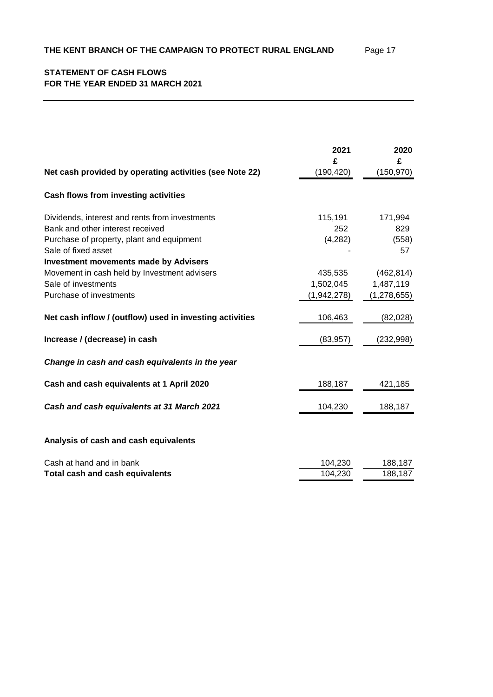# **STATEMENT OF CASH FLOWS FOR THE YEAR ENDED 31 MARCH 2021**

| Net cash provided by operating activities (see Note 22)                                                                                                | 2021<br>£<br>(190, 420)             | 2020<br>£<br>(150, 970)                  |
|--------------------------------------------------------------------------------------------------------------------------------------------------------|-------------------------------------|------------------------------------------|
| Cash flows from investing activities                                                                                                                   |                                     |                                          |
| Dividends, interest and rents from investments<br>Bank and other interest received<br>Purchase of property, plant and equipment<br>Sale of fixed asset | 115,191<br>252<br>(4, 282)          | 171,994<br>829<br>(558)<br>57            |
| <b>Investment movements made by Advisers</b><br>Movement in cash held by Investment advisers<br>Sale of investments<br>Purchase of investments         | 435,535<br>1,502,045<br>(1,942,278) | (462, 814)<br>1,487,119<br>(1, 278, 655) |
| Net cash inflow / (outflow) used in investing activities                                                                                               | 106,463                             | (82,028)                                 |
| Increase / (decrease) in cash                                                                                                                          | (83, 957)                           | (232, 998)                               |
| Change in cash and cash equivalents in the year                                                                                                        |                                     |                                          |
| Cash and cash equivalents at 1 April 2020                                                                                                              | 188,187                             | 421,185                                  |
| Cash and cash equivalents at 31 March 2021                                                                                                             | 104,230                             | 188,187                                  |
| Analysis of cash and cash equivalents                                                                                                                  |                                     |                                          |
| Cash at hand and in bank<br><b>Total cash and cash equivalents</b>                                                                                     | 104,230<br>104,230                  | 188,187<br>188,187                       |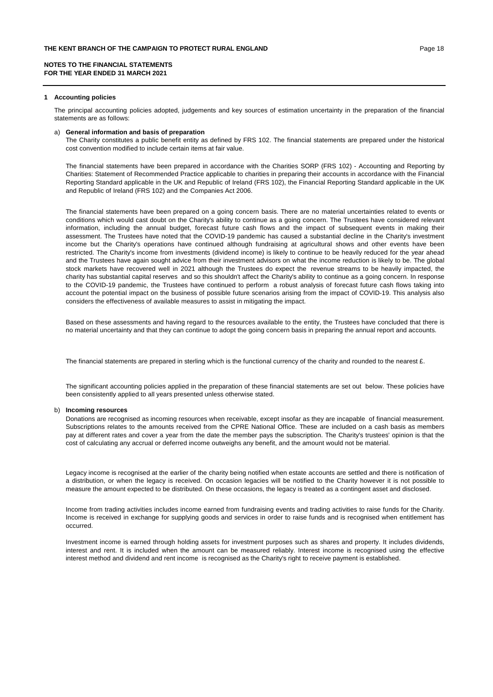#### **1 Accounting policies**

The principal accounting policies adopted, judgements and key sources of estimation uncertainty in the preparation of the financial statements are as follows:

#### a) **General information and basis of preparation**

The Charity constitutes a public benefit entity as defined by FRS 102. The financial statements are prepared under the historical cost convention modified to include certain items at fair value.

The financial statements have been prepared in accordance with the Charities SORP (FRS 102) - Accounting and Reporting by Charities: Statement of Recommended Practice applicable to charities in preparing their accounts in accordance with the Financial Reporting Standard applicable in the UK and Republic of Ireland (FRS 102), the Financial Reporting Standard applicable in the UK and Republic of Ireland (FRS 102) and the Companies Act 2006.

The financial statements have been prepared on a going concern basis. There are no material uncertainties related to events or conditions which would cast doubt on the Charity's ability to continue as a going concern. The Trustees have considered relevant information, including the annual budget, forecast future cash flows and the impact of subsequent events in making their assessment. The Trustees have noted that the COVID-19 pandemic has caused a substantial decline in the Charity's investment income but the Charity's operations have continued although fundraising at agricultural shows and other events have been restricted. The Charity's income from investments (dividend income) is likely to continue to be heavily reduced for the year ahead and the Trustees have again sought advice from their investment advisors on what the income reduction is likely to be. The global stock markets have recovered well in 2021 although the Trustees do expect the revenue streams to be heavily impacted, the charity has substantial capital reserves and so this shouldn't affect the Charity's ability to continue as a going concern. In response to the COVID-19 pandemic, the Trustees have continued to perform a robust analysis of forecast future cash flows taking into account the potential impact on the business of possible future scenarios arising from the impact of COVID-19. This analysis also considers the effectiveness of available measures to assist in mitigating the impact.

Based on these assessments and having regard to the resources available to the entity, the Trustees have concluded that there is no material uncertainty and that they can continue to adopt the going concern basis in preparing the annual report and accounts.

The financial statements are prepared in sterling which is the functional currency of the charity and rounded to the nearest  $E$ .

The significant accounting policies applied in the preparation of these financial statements are set out below. These policies have been consistently applied to all years presented unless otherwise stated.

#### b) **Incoming resources**

Donations are recognised as incoming resources when receivable, except insofar as they are incapable of financial measurement. Subscriptions relates to the amounts received from the CPRE National Office. These are included on a cash basis as members pay at different rates and cover a year from the date the member pays the subscription. The Charity's trustees' opinion is that the cost of calculating any accrual or deferred income outweighs any benefit, and the amount would not be material.

Legacy income is recognised at the earlier of the charity being notified when estate accounts are settled and there is notification of a distribution, or when the legacy is received. On occasion legacies will be notified to the Charity however it is not possible to measure the amount expected to be distributed. On these occasions, the legacy is treated as a contingent asset and disclosed.

Income from trading activities includes income earned from fundraising events and trading activities to raise funds for the Charity. Income is received in exchange for supplying goods and services in order to raise funds and is recognised when entitlement has occurred.

Investment income is earned through holding assets for investment purposes such as shares and property. It includes dividends, interest and rent. It is included when the amount can be measured reliably. Interest income is recognised using the effective interest method and dividend and rent income is recognised as the Charity's right to receive payment is established.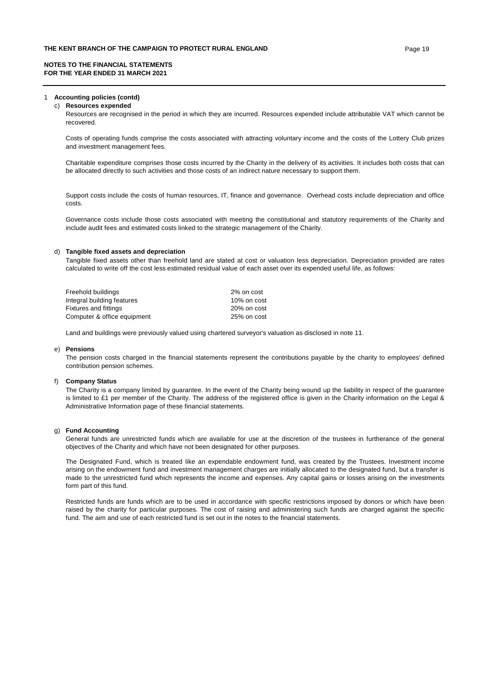#### 1 **Accounting policies (contd)**

#### c) **Resources expended**

Resources are recognised in the period in which they are incurred. Resources expended include attributable VAT which cannot be recovered.

Costs of operating funds comprise the costs associated with attracting voluntary income and the costs of the Lottery Club prizes and investment management fees.

Charitable expenditure comprises those costs incurred by the Charity in the delivery of its activities. It includes both costs that can be allocated directly to such activities and those costs of an indirect nature necessary to support them.

Support costs include the costs of human resources, IT, finance and governance. Overhead costs include depreciation and office costs.

Governance costs include those costs associated with meeting the constitutional and statutory requirements of the Charity and include audit fees and estimated costs linked to the strategic management of the Charity.

#### d) **Tangible fixed assets and depreciation**

Tangible fixed assets other than freehold land are stated at cost or valuation less depreciation. Depreciation provided are rates calculated to write off the cost less estimated residual value of each asset over its expended useful life, as follows:

| 2% on cost  |
|-------------|
| 10% on cost |
| 20% on cost |
| 25% on cost |
|             |

Land and buildings were previously valued using chartered surveyor's valuation as disclosed in note 11.

#### e) **Pensions**

The pension costs charged in the financial statements represent the contributions payable by the charity to employees' defined contribution pension schemes.

#### f) **Company Status**

The Charity is a company limited by guarantee. In the event of the Charity being wound up the liability in respect of the guarantee is limited to £1 per member of the Charity. The address of the registered office is given in the Charity information on the Legal & Administrative Information page of these financial statements.

#### g) **Fund Accounting**

General funds are unrestricted funds which are available for use at the discretion of the trustees in furtherance of the general objectives of the Charity and which have not been designated for other purposes.

The Designated Fund, which is treated like an expendable endowment fund, was created by the Trustees. Investment income arising on the endowment fund and investment management charges are initially allocated to the designated fund, but a transfer is made to the unrestricted fund which represents the income and expenses. Any capital gains or losses arising on the investments form part of this fund.

Restricted funds are funds which are to be used in accordance with specific restrictions imposed by donors or which have been raised by the charity for particular purposes. The cost of raising and administering such funds are charged against the specific fund. The aim and use of each restricted fund is set out in the notes to the financial statements.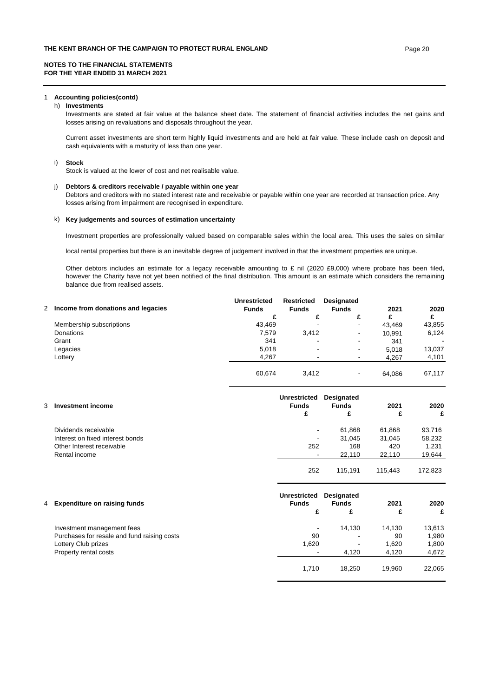#### 1 **Accounting policies(contd)**

#### h) **Investments**

Investments are stated at fair value at the balance sheet date. The statement of financial activities includes the net gains and losses arising on revaluations and disposals throughout the year.

Current asset investments are short term highly liquid investments and are held at fair value. These include cash on deposit and cash equivalents with a maturity of less than one year.

#### i) **Stock**

Stock is valued at the lower of cost and net realisable value.

#### j) **Debtors & creditors receivable / payable within one year**

Debtors and creditors with no stated interest rate and receivable or payable within one year are recorded at transaction price. Any losses arising from impairment are recognised in expenditure.

#### k) **Key judgements and sources of estimation uncertainty**

Investment properties are professionally valued based on comparable sales within the local area. This uses the sales on similar

local rental properties but there is an inevitable degree of judgement involved in that the investment properties are unique.

Other debtors includes an estimate for a legacy receivable amounting to  $E$  nil (2020 £9,000) where probate has been filed, however the Charity have not yet been notified of the final distribution. This amount is an estimate which considers the remaining balance due from realised assets.

|                                      | <b>Unrestricted</b> | <b>Restricted</b> | <b>Designated</b>        |        |        |
|--------------------------------------|---------------------|-------------------|--------------------------|--------|--------|
| 2 Income from donations and legacies | <b>Funds</b>        | <b>Funds</b>      | <b>Funds</b>             | 2021   | 2020   |
|                                      |                     |                   | £                        | £      | £      |
| Membership subscriptions             | 43.469              |                   | $\overline{\phantom{a}}$ | 43,469 | 43,855 |
| Donations                            | 7.579               | 3.412             | $\overline{\phantom{a}}$ | 10.991 | 6,124  |
| Grant                                | 341                 |                   | $\overline{\phantom{a}}$ | 341    |        |
| Legacies                             | 5.018               | -                 | $\overline{\phantom{0}}$ | 5.018  | 13,037 |
| Lottery                              | 4.267               |                   | $\overline{\phantom{a}}$ | 4.267  | 4,101  |
|                                      | 60.674              | 3.412             | $\overline{\phantom{0}}$ | 64.086 | 67,117 |

| 3 | Investment income                           | <b>Unrestricted</b><br><b>Funds</b><br>£ | <b>Designated</b><br><b>Funds</b><br>£ | 2021<br>£ | 2020<br>£ |
|---|---------------------------------------------|------------------------------------------|----------------------------------------|-----------|-----------|
|   | Dividends receivable                        |                                          | 61,868                                 | 61,868    | 93,716    |
|   | Interest on fixed interest bonds            |                                          | 31,045                                 | 31,045    | 58,232    |
|   | Other Interest receivable                   | 252                                      | 168                                    | 420       | 1,231     |
|   | Rental income                               |                                          | 22,110                                 | 22,110    | 19,644    |
|   |                                             | 252                                      | 115,191                                | 115,443   | 172,823   |
|   |                                             |                                          |                                        |           |           |
|   |                                             | <b>Unrestricted</b>                      | <b>Designated</b>                      |           |           |
|   | 4 Expenditure on raising funds              | <b>Funds</b><br>£                        | <b>Funds</b><br>£                      | 2021<br>£ | 2020<br>£ |
|   | Investment management fees                  |                                          | 14,130                                 | 14,130    | 13,613    |
|   | Purchases for resale and fund raising costs | 90                                       |                                        | 90        | 1,980     |
|   | Lottery Club prizes                         | 1,620                                    |                                        | 1,620     | 1,800     |
|   | Property rental costs                       |                                          | 4,120                                  | 4,120     | 4,672     |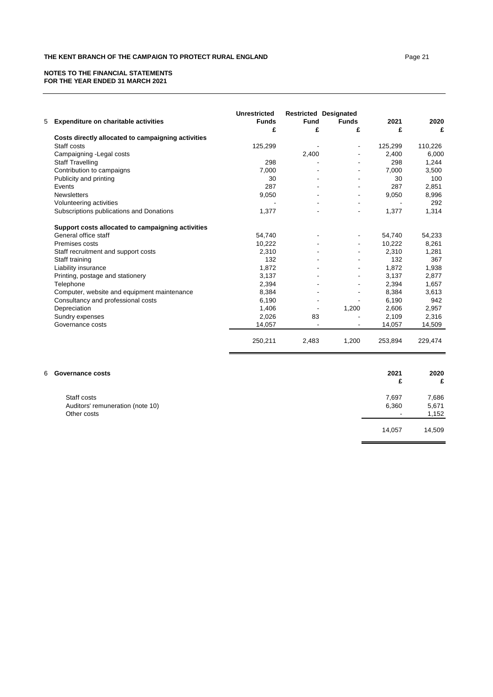# **THE KENT BRANCH OF THE CAMPAIGN TO PROTECT RURAL ENGLAND Page 21** Page 21

#### **NOTES TO THE FINANCIAL STATEMENTS FOR THE YEAR ENDED 31 MARCH 2021**

| Costs directly allocated to campaigning activities<br>Staff costs<br>Campaigning -Legal costs<br><b>Staff Travelling</b><br>Contribution to campaigns<br>Publicity and printing<br><b>Newsletters</b><br>Volunteering activities<br>Subscriptions publications and Donations | £<br>125,299<br>298<br>7,000<br>30<br>287<br>9,050<br>1,377 | £<br>2,400     | £                        | £<br>125,299<br>2,400<br>298<br>7,000<br>30<br>287 | £<br>110,226<br>6,000<br>1,244<br>3,500<br>100 |
|------------------------------------------------------------------------------------------------------------------------------------------------------------------------------------------------------------------------------------------------------------------------------|-------------------------------------------------------------|----------------|--------------------------|----------------------------------------------------|------------------------------------------------|
|                                                                                                                                                                                                                                                                              |                                                             |                |                          |                                                    |                                                |
|                                                                                                                                                                                                                                                                              |                                                             |                |                          |                                                    |                                                |
|                                                                                                                                                                                                                                                                              |                                                             |                |                          |                                                    |                                                |
|                                                                                                                                                                                                                                                                              |                                                             |                |                          |                                                    |                                                |
|                                                                                                                                                                                                                                                                              |                                                             |                |                          |                                                    |                                                |
|                                                                                                                                                                                                                                                                              |                                                             |                |                          |                                                    |                                                |
|                                                                                                                                                                                                                                                                              |                                                             |                |                          |                                                    |                                                |
|                                                                                                                                                                                                                                                                              |                                                             |                |                          |                                                    | 2,851                                          |
|                                                                                                                                                                                                                                                                              |                                                             |                |                          | 9,050                                              | 8,996                                          |
|                                                                                                                                                                                                                                                                              |                                                             |                |                          |                                                    | 292                                            |
|                                                                                                                                                                                                                                                                              |                                                             |                |                          | 1,377                                              | 1,314                                          |
| Support costs allocated to campaigning activities                                                                                                                                                                                                                            |                                                             |                |                          |                                                    |                                                |
| General office staff                                                                                                                                                                                                                                                         | 54,740                                                      |                |                          | 54,740                                             | 54,233                                         |
| Premises costs                                                                                                                                                                                                                                                               | 10,222                                                      |                |                          | 10,222                                             | 8,261                                          |
| Staff recruitment and support costs                                                                                                                                                                                                                                          | 2,310                                                       |                |                          | 2,310                                              | 1,281                                          |
| Staff training                                                                                                                                                                                                                                                               | 132                                                         |                |                          | 132                                                | 367                                            |
| Liability insurance                                                                                                                                                                                                                                                          | 1,872                                                       |                |                          | 1,872                                              | 1,938                                          |
| Printing, postage and stationery                                                                                                                                                                                                                                             | 3,137                                                       |                |                          | 3,137                                              | 2,877                                          |
| Telephone                                                                                                                                                                                                                                                                    | 2,394                                                       |                |                          | 2,394                                              | 1,657                                          |
| Computer, website and equipment maintenance                                                                                                                                                                                                                                  | 8,384                                                       |                |                          | 8,384                                              | 3,613                                          |
| Consultancy and professional costs                                                                                                                                                                                                                                           | 6,190                                                       |                |                          | 6,190                                              | 942                                            |
| Depreciation                                                                                                                                                                                                                                                                 | 1,406                                                       |                | 1,200                    | 2,606                                              | 2,957                                          |
| Sundry expenses                                                                                                                                                                                                                                                              | 2,026                                                       | 83             |                          | 2,109                                              | 2,316                                          |
|                                                                                                                                                                                                                                                                              | 14,057                                                      | $\overline{a}$ | $\overline{\phantom{a}}$ | 14,057                                             | 14,509                                         |
|                                                                                                                                                                                                                                                                              | 250,211                                                     | 2,483          | 1,200                    | 253,894                                            | 229,474                                        |
|                                                                                                                                                                                                                                                                              |                                                             |                |                          | 2021                                               | 2020                                           |
|                                                                                                                                                                                                                                                                              | Governance costs                                            |                |                          | <b>Governance costs</b>                            |                                                |

|                                  | 14,057         | 14,509 |
|----------------------------------|----------------|--------|
| Other costs                      | $\blacksquare$ | 1.152  |
| Auditors' remuneration (note 10) | 6,360          | 5,671  |
| Staff costs                      | 7,697          | 7,686  |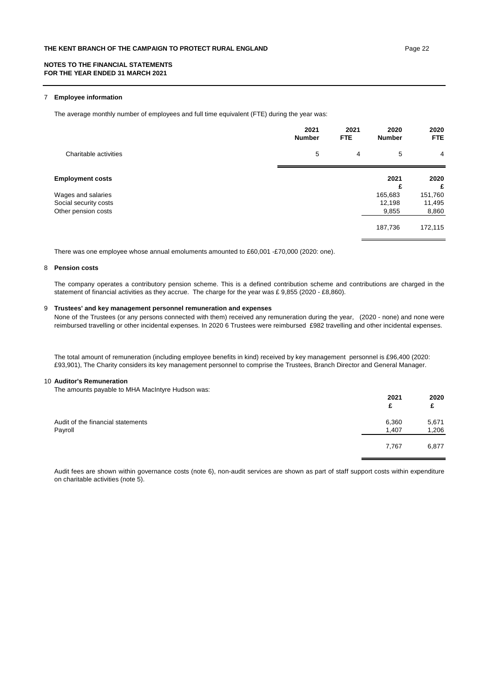#### 7 **Employee information**

The average monthly number of employees and full time equivalent (FTE) during the year was:

|                         | 2021<br><b>Number</b> | 2021<br><b>FTE</b> | 2020<br><b>Number</b> | 2020<br><b>FTE</b> |
|-------------------------|-----------------------|--------------------|-----------------------|--------------------|
| Charitable activities   | 5                     | 4                  | 5                     | $\overline{4}$     |
| <b>Employment costs</b> |                       |                    | 2021                  | 2020               |
| Wages and salaries      |                       |                    | £<br>165,683          | £<br>151,760       |
| Social security costs   |                       |                    | 12,198                | 11,495             |
| Other pension costs     |                       |                    | 9,855                 | 8,860              |
|                         |                       |                    | 187,736               | 172,115            |

There was one employee whose annual emoluments amounted to £60,001 -£70,000 (2020: one).

#### 8 **Pension costs**

The company operates a contributory pension scheme. This is a defined contribution scheme and contributions are charged in the statement of financial activities as they accrue. The charge for the year was £ 9,855 (2020 - £8,860).

#### 9 **Trustees' and key management personnel remuneration and expenses**

None of the Trustees (or any persons connected with them) received any remuneration during the year, (2020 - none) and none were reimbursed travelling or other incidental expenses. In 2020 6 Trustees were reimbursed £982 travelling and other incidental expenses.

The total amount of remuneration (including employee benefits in kind) received by key management personnel is £96,400 (2020: £93,901), The Charity considers its key management personnel to comprise the Trustees, Branch Director and General Manager.

#### 10 **Auditor's Remuneration**

The amounts payable to MHA MacIntyre Hudson was:

|                                              | 2021<br>£      | 2020<br>£      |
|----------------------------------------------|----------------|----------------|
| Audit of the financial statements<br>Payroll | 6,360<br>1,407 | 5,671<br>1,206 |
|                                              | 7,767          | 6,877          |

Audit fees are shown within governance costs (note 6), non-audit services are shown as part of staff support costs within expenditure on charitable activities (note 5).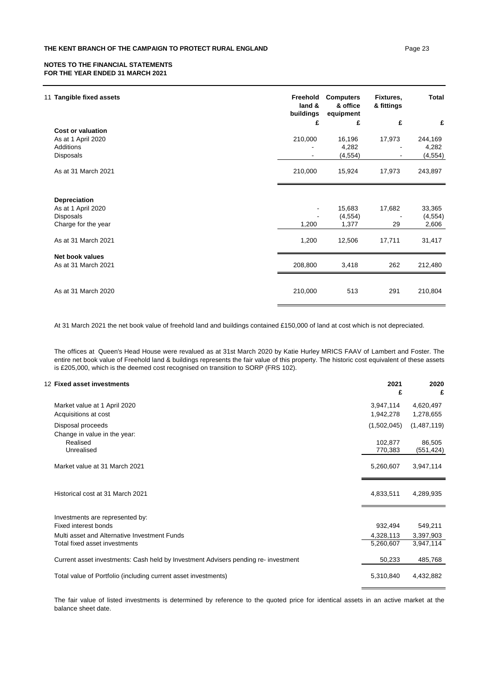| 11 Tangible fixed assets                                                        | Freehold<br>land &<br>buildings | <b>Computers</b><br>& office<br>equipment | Fixtures,<br>& fittings | <b>Total</b>                 |
|---------------------------------------------------------------------------------|---------------------------------|-------------------------------------------|-------------------------|------------------------------|
|                                                                                 | £                               | £                                         | £                       | £                            |
| <b>Cost or valuation</b><br>As at 1 April 2020<br>Additions<br><b>Disposals</b> | 210,000                         | 16,196<br>4,282<br>(4, 554)               | 17,973                  | 244,169<br>4,282<br>(4, 554) |
| As at 31 March 2021                                                             | 210,000                         | 15,924                                    | 17,973                  | 243,897                      |
| Depreciation<br>As at 1 April 2020<br>Disposals<br>Charge for the year          | 1,200                           | 15,683<br>(4, 554)<br>1,377               | 17,682<br>29            | 33,365<br>(4, 554)<br>2,606  |
| As at 31 March 2021                                                             | 1,200                           | 12,506                                    | 17,711                  | 31,417                       |
| <b>Net book values</b><br>As at 31 March 2021                                   | 208,800                         | 3,418                                     | 262                     | 212,480                      |
| As at 31 March 2020                                                             | 210,000                         | 513                                       | 291                     | 210,804                      |

At 31 March 2021 the net book value of freehold land and buildings contained £150,000 of land at cost which is not depreciated.

The offices at Queen's Head House were revalued as at 31st March 2020 by Katie Hurley MRICS FAAV of Lambert and Foster. The entire net book value of Freehold land & buildings represents the fair value of this property. The historic cost equivalent of these assets is £205,000, which is the deemed cost recognised on transition to SORP (FRS 102).

| 12 Fixed asset investments                                                         | 2021<br>£              | 2020<br>£              |
|------------------------------------------------------------------------------------|------------------------|------------------------|
| Market value at 1 April 2020<br>Acquisitions at cost                               | 3,947,114<br>1,942,278 | 4,620,497<br>1,278,655 |
| Disposal proceeds                                                                  | (1,502,045)            | (1,487,119)            |
| Change in value in the year:<br>Realised<br>Unrealised                             | 102,877<br>770,383     | 86,505<br>(551, 424)   |
| Market value at 31 March 2021                                                      | 5,260,607              | 3,947,114              |
| Historical cost at 31 March 2021                                                   | 4,833,511              | 4,289,935              |
| Investments are represented by:<br>Fixed interest bonds                            | 932,494                | 549,211                |
| Multi asset and Alternative Investment Funds                                       | 4,328,113              | 3,397,903              |
| Total fixed asset investments                                                      | 5,260,607              | 3,947,114              |
| Current asset investments: Cash held by Investment Advisers pending re- investment | 50,233                 | 485,768                |
| Total value of Portfolio (including current asset investments)                     | 5,310,840              | 4,432,882              |

The fair value of listed investments is determined by reference to the quoted price for identical assets in an active market at the balance sheet date.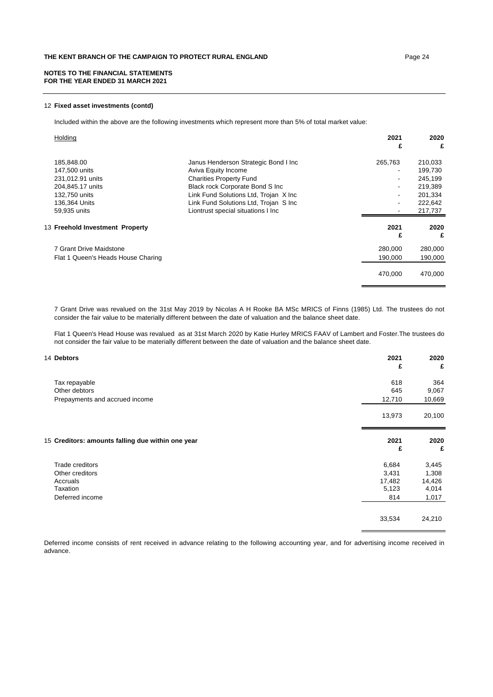#### **THE KENT BRANCH OF THE CAMPAIGN TO PROTECT RURAL ENGLAND Page 24 Page 24**

#### **NOTES TO THE FINANCIAL STATEMENTS FOR THE YEAR ENDED 31 MARCH 2021**

#### 12 **Fixed asset investments (contd)**

Included within the above are the following investments which represent more than 5% of total market value:

| Holding                            |                                        | 2021<br>£ | 2020<br>£ |
|------------------------------------|----------------------------------------|-----------|-----------|
| 185,848.00                         | Janus Henderson Strategic Bond I Inc.  | 265,763   | 210,033   |
| 147,500 units                      | Aviva Equity Income                    |           | 199,730   |
| 231,012.91 units                   | <b>Charities Property Fund</b>         |           | 245,199   |
| 204,845.17 units                   | Black rock Corporate Bond S Inc        |           | 219,389   |
| 132,750 units                      | Link Fund Solutions Ltd, Trojan X Inc. |           | 201,334   |
| 136,364 Units                      | Link Fund Solutions Ltd, Trojan S Inc. |           | 222,642   |
| 59,935 units                       | Liontrust special situations I Inc     |           | 217,737   |
| 13 Freehold Investment Property    |                                        | 2021      | 2020      |
|                                    |                                        | £         | £         |
| 7 Grant Drive Maidstone            |                                        | 280,000   | 280,000   |
| Flat 1 Queen's Heads House Charing |                                        | 190,000   | 190,000   |
|                                    |                                        | 470,000   | 470,000   |

7 Grant Drive was revalued on the 31st May 2019 by Nicolas A H Rooke BA MSc MRICS of Finns (1985) Ltd. The trustees do not consider the fair value to be materially different between the date of valuation and the balance sheet date.

Flat 1 Queen's Head House was revalued as at 31st March 2020 by Katie Hurley MRICS FAAV of Lambert and Foster.The trustees do not consider the fair value to be materially different between the date of valuation and the balance sheet date.

| 14 Debtors                                        | 2021<br>£ | 2020<br>£ |
|---------------------------------------------------|-----------|-----------|
| Tax repayable                                     | 618       | 364       |
| Other debtors                                     | 645       | 9,067     |
| Prepayments and accrued income                    | 12,710    | 10,669    |
|                                                   | 13,973    | 20,100    |
| 15 Creditors: amounts falling due within one year | 2021<br>£ | 2020<br>£ |
| Trade creditors                                   | 6,684     | 3,445     |
| Other creditors                                   | 3,431     | 1,308     |
| Accruals                                          | 17,482    | 14,426    |
| Taxation                                          | 5,123     | 4,014     |
| Deferred income                                   | 814       | 1,017     |
|                                                   | 33,534    | 24,210    |

Deferred income consists of rent received in advance relating to the following accounting year, and for advertising income received in advance.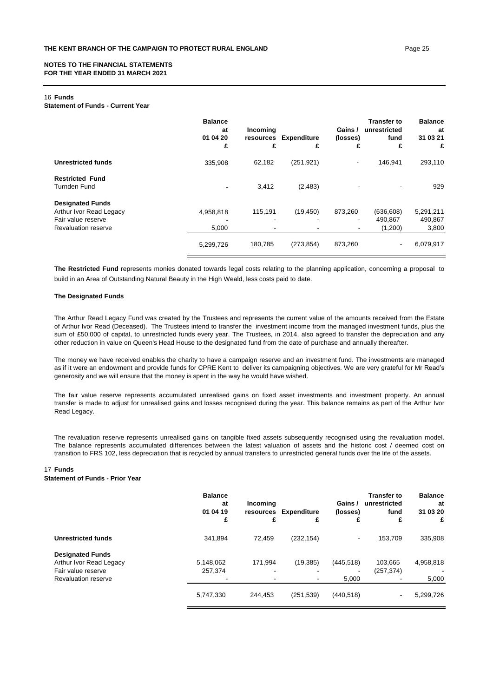#### 16 **Funds**

**Statement of Funds - Current Year**

|                                                                                                        | <b>Balance</b><br>at<br>01 04 20<br>£ | Incoming<br>£                       | resources Expenditure<br>£ | Gains /<br>(losses)<br>£                 | <b>Transfer to</b><br>unrestricted<br>fund<br>£ | <b>Balance</b><br>at<br>31 03 21<br>£ |
|--------------------------------------------------------------------------------------------------------|---------------------------------------|-------------------------------------|----------------------------|------------------------------------------|-------------------------------------------------|---------------------------------------|
| <b>Unrestricted funds</b>                                                                              | 335,908                               | 62,182                              | (251, 921)                 | ۰.                                       | 146,941                                         | 293,110                               |
| <b>Restricted Fund</b><br><b>Turnden Fund</b>                                                          | $\overline{\phantom{a}}$              | 3,412                               | (2,483)                    |                                          | -                                               | 929                                   |
| <b>Designated Funds</b><br>Arthur Ivor Read Legacy<br>Fair value reserve<br><b>Revaluation reserve</b> | 4,958,818<br>5,000                    | 115,191<br>$\overline{\phantom{a}}$ | (19, 450)                  | 873,260<br>$\overline{\phantom{a}}$<br>۰ | (636, 608)<br>490.867<br>(1,200)                | 5,291,211<br>490,867<br>3,800         |
|                                                                                                        | 5,299,726                             | 180,785                             | (273, 854)                 | 873,260                                  | ٠                                               | 6,079,917                             |

**The Restricted Fund** represents monies donated towards legal costs relating to the planning application, concerning a proposal to build in an Area of Outstanding Natural Beauty in the High Weald, less costs paid to date.

#### **The Designated Funds**

The Arthur Read Legacy Fund was created by the Trustees and represents the current value of the amounts received from the Estate of Arthur Ivor Read (Deceased). The Trustees intend to transfer the investment income from the managed investment funds, plus the sum of £50,000 of capital, to unrestricted funds every year. The Trustees, in 2014, also agreed to transfer the depreciation and any other reduction in value on Queen's Head House to the designated fund from the date of purchase and annually thereafter.

The money we have received enables the charity to have a campaign reserve and an investment fund. The investments are managed as if it were an endowment and provide funds for CPRE Kent to deliver its campaigning objectives. We are very grateful for Mr Read's generosity and we will ensure that the money is spent in the way he would have wished.

The fair value reserve represents accumulated unrealised gains on fixed asset investments and investment property. An annual transfer is made to adjust for unrealised gains and losses recognised during the year. This balance remains as part of the Arthur Ivor Read Legacy.

The revaluation reserve represents unrealised gains on tangible fixed assets subsequently recognised using the revaluation model. The balance represents accumulated differences between the latest valuation of assets and the historic cost / deemed cost on transition to FRS 102, less depreciation that is recycled by annual transfers to unrestricted general funds over the life of the assets.

#### 17 **Funds**

**Statement of Funds - Prior Year**

|                                                                                                        | <b>Balance</b><br>at<br>01 04 19<br>£ | Incoming<br>resources<br>£          | <b>Expenditure</b><br>£ | Gains /<br>(losses)<br>£                        | <b>Transfer to</b><br>unrestricted<br>fund<br>£   | <b>Balance</b><br>at<br>31 03 20<br>£ |
|--------------------------------------------------------------------------------------------------------|---------------------------------------|-------------------------------------|-------------------------|-------------------------------------------------|---------------------------------------------------|---------------------------------------|
| <b>Unrestricted funds</b>                                                                              | 341.894                               | 72.459                              | (232, 154)              | $\overline{\phantom{a}}$                        | 153.709                                           | 335,908                               |
| <b>Designated Funds</b><br>Arthur Ivor Read Legacy<br>Fair value reserve<br><b>Revaluation reserve</b> | 5,148,062<br>257.374<br>-             | 171.994<br>$\overline{\phantom{a}}$ | (19, 385)               | (445, 518)<br>$\overline{\phantom{a}}$<br>5,000 | 103.665<br>(257, 374)<br>$\overline{\phantom{a}}$ | 4,958,818<br>5,000                    |
|                                                                                                        | 5,747,330                             | 244.453                             | (251, 539)              | (440, 518)                                      | $\overline{\phantom{0}}$                          | 5,299,726                             |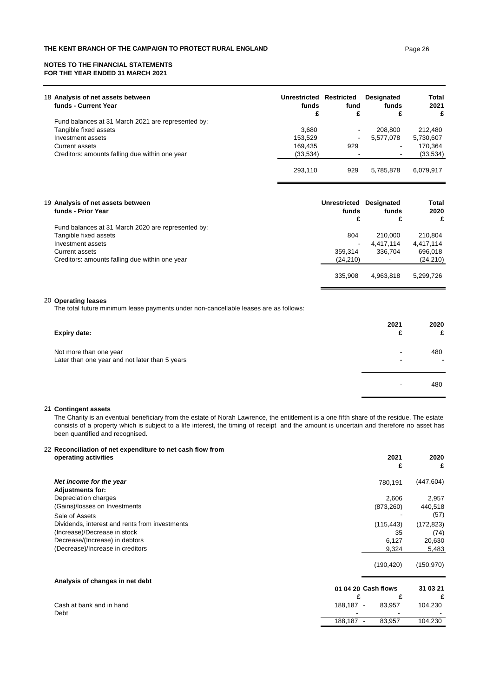| 18 Analysis of net assets between<br>funds - Current Year | Unrestricted<br>funds<br>£ | <b>Restricted</b><br>fund<br>£ | <b>Designated</b><br>funds | Total<br>2021<br>£ |
|-----------------------------------------------------------|----------------------------|--------------------------------|----------------------------|--------------------|
| Fund balances at 31 March 2021 are represented by:        |                            |                                |                            |                    |
| Tangible fixed assets                                     | 3.680                      | $\overline{\phantom{a}}$       | 208,800                    | 212.480            |
| Investment assets                                         | 153.529                    | $\overline{\phantom{a}}$       | 5.577.078                  | 5,730,607          |
| Current assets                                            | 169.435                    | 929                            | ٠                          | 170.364            |
| Creditors: amounts falling due within one year            | (33,534)                   |                                | $\overline{\phantom{a}}$   | (33, 534)          |
|                                                           | 293,110                    | 929                            | 5.785.878                  | 6.079.917          |

| 19 Analysis of net assets between<br>funds - Prior Year | <b>Unrestricted</b><br>funds<br>£ | <b>Designated</b><br>funds<br>£ | Total<br>2020<br>£ |
|---------------------------------------------------------|-----------------------------------|---------------------------------|--------------------|
| Fund balances at 31 March 2020 are represented by:      |                                   |                                 |                    |
| Tangible fixed assets                                   | 804                               | 210.000                         | 210.804            |
| Investment assets                                       | $\overline{\phantom{0}}$          | 4.417.114                       | 4.417.114          |
| Current assets                                          | 359.314                           | 336.704                         | 696.018            |
| Creditors: amounts falling due within one year          | (24, 210)                         |                                 | (24, 210)          |
|                                                         | 335.908                           | 4.963.818                       | 5.299.726          |

#### 20 **Operating leases**

The total future minimum lease payments under non-cancellable leases are as follows:

| <b>Expiry date:</b>                                                      | 2021                                                 | 2020<br>£                       |
|--------------------------------------------------------------------------|------------------------------------------------------|---------------------------------|
| Not more than one year<br>Later than one year and not later than 5 years | $\overline{\phantom{a}}$<br>$\overline{\phantom{a}}$ | 480<br>$\overline{\phantom{0}}$ |
|                                                                          | $\overline{\phantom{a}}$                             | 480                             |

#### 21 **Contingent assets**

The Charity is an eventual beneficiary from the estate of Norah Lawrence, the entitlement is a one fifth share of the residue. The estate consists of a property which is subject to a life interest, the timing of receipt and the amount is uncertain and therefore no asset has been quantified and recognised.

# 22 **Reconciliation of net expenditure to net cash flow from**

| operating activities                           | 2021<br>£                                     | 2020<br>£  |
|------------------------------------------------|-----------------------------------------------|------------|
| Net income for the year                        | 780,191                                       | (447, 604) |
| <b>Adjustments for:</b>                        |                                               |            |
| Depreciation charges                           | 2,606                                         | 2,957      |
| (Gains)/losses on Investments                  | (873, 260)                                    | 440,518    |
| Sale of Assets                                 |                                               | (57)       |
| Dividends, interest and rents from investments | (115, 443)                                    | (172, 823) |
| (Increase)/Decrease in stock                   | 35                                            | (74)       |
| Decrease/(Increase) in debtors                 | 6,127                                         | 20,630     |
| (Decrease)/Increase in creditors               | 9,324                                         | 5,483      |
|                                                | (190, 420)                                    | (150, 970) |
| Analysis of changes in net debt                |                                               |            |
|                                                | 01 04 20 Cash flows                           | 31 03 21   |
|                                                | £<br>£                                        | £          |
| Cash at bank and in hand                       | 188,187 -<br>83,957                           | 104,230    |
| Debt                                           |                                               |            |
|                                                | 188,187<br>83,957<br>$\overline{\phantom{a}}$ | 104,230    |